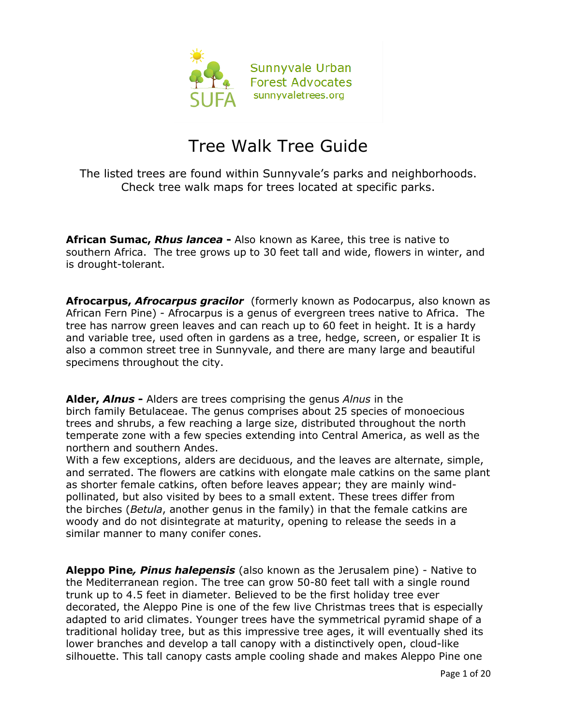

## Tree Walk Tree Guide

The listed trees are found within Sunnyvale's parks and neighborhoods. Check tree walk maps for trees located at specific parks.

**African Sumac,** *Rhus lancea* **-** Also known as Karee, this tree is native to southern Africa. The tree grows up to 30 feet tall and wide, flowers in winter, and is drought-tolerant.

**Afrocarpus,** *Afrocarpus gracilor* (formerly known as Podocarpus, also known as African Fern Pine) - Afrocarpus is a genus of evergreen trees native to Africa. The tree has narrow green leaves and can reach up to 60 feet in height. It is a hardy and variable tree, used often in gardens as a tree, hedge, screen, or espalier It is also a common street tree in Sunnyvale, and there are many large and beautiful specimens throughout the city.

**Alder,** *Alnus* **-** Alders are trees comprising the genus *Alnus* in the birch family Betulaceae. The genus comprises about 25 species of monoecious trees and shrubs, a few reaching a large size, distributed throughout the north temperate zone with a few species extending into Central America, as well as the northern and southern Andes.

With a few exceptions, alders are deciduous, and the leaves are alternate, simple, and serrated. The flowers are catkins with elongate male catkins on the same plant as shorter female catkins, often before leaves appear; they are mainly windpollinated, but also visited by bees to a small extent. These trees differ from the birches (*Betula*, another genus in the family) in that the female catkins are woody and do not disintegrate at maturity, opening to release the seeds in a similar manner to many conifer cones.

**Aleppo Pine***, Pinus halepensis* (also known as the Jerusalem pine) - Native to the Mediterranean region. The tree can grow 50-80 feet tall with a single round trunk up to 4.5 feet in diameter. Believed to be the first holiday tree ever decorated, the Aleppo Pine is one of the few live Christmas trees that is especially adapted to arid climates. Younger trees have the symmetrical pyramid shape of a traditional holiday tree, but as this impressive tree ages, it will eventually shed its lower branches and develop a tall canopy with a distinctively open, cloud-like silhouette. This tall canopy casts ample cooling shade and makes Aleppo Pine one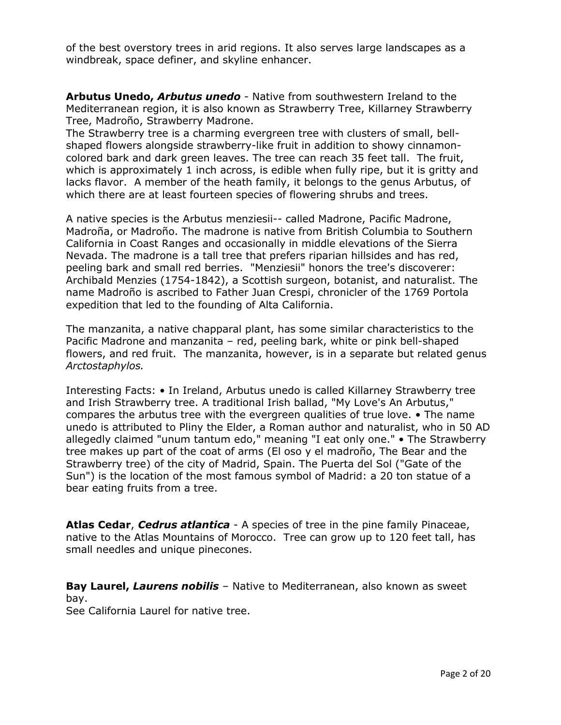of the best overstory trees in arid regions. It also serves large landscapes as a windbreak, space definer, and skyline enhancer.

**Arbutus Unedo,** *Arbutus unedo* - Native from southwestern Ireland to the Mediterranean region, it is also known as Strawberry Tree, Killarney Strawberry Tree, Madroño, Strawberry Madrone.

The Strawberry tree is a charming evergreen tree with clusters of small, bellshaped flowers alongside strawberry-like fruit in addition to showy cinnamoncolored bark and dark green leaves. The tree can reach 35 feet tall. The fruit, which is approximately 1 inch across, is edible when fully ripe, but it is gritty and lacks flavor. A member of the heath family, it belongs to the genus Arbutus, of which there are at least fourteen species of flowering shrubs and trees.

A native species is the Arbutus menziesii-- called Madrone, Pacific Madrone, Madroña, or Madroño. The madrone is native from British Columbia to Southern California in Coast Ranges and occasionally in middle elevations of the Sierra Nevada. The madrone is a tall tree that prefers riparian hillsides and has red, peeling bark and small red berries. "Menziesii" honors the tree's discoverer: Archibald Menzies (1754-1842), a Scottish surgeon, botanist, and naturalist. The name Madroño is ascribed to Father Juan Crespi, chronicler of the 1769 Portola expedition that led to the founding of Alta California.

The manzanita, a native chapparal plant, has some similar characteristics to the Pacific Madrone and manzanita – red, peeling bark, white or pink bell-shaped flowers, and red fruit. The manzanita, however, is in a separate but related genus *Arctostaphylos.*

Interesting Facts: • In Ireland, Arbutus unedo is called Killarney Strawberry tree and Irish Strawberry tree. A traditional Irish ballad, "My Love's An Arbutus," compares the arbutus tree with the evergreen qualities of true love. • The name unedo is attributed to Pliny the Elder, a Roman author and naturalist, who in 50 AD allegedly claimed "unum tantum edo," meaning "I eat only one." • The Strawberry tree makes up part of the coat of arms (El oso y el madroño, The Bear and the Strawberry tree) of the city of Madrid, Spain. The Puerta del Sol ("Gate of the Sun") is the location of the most famous symbol of Madrid: a 20 ton statue of a bear eating fruits from a tree.

**Atlas Cedar**, *Cedrus atlantica* - A species of tree in the pine family Pinaceae, native to the Atlas Mountains of Morocco. Tree can grow up to 120 feet tall, has small needles and unique pinecones.

**Bay Laurel,** *Laurens nobilis* – Native to Mediterranean, also known as sweet bay.

See California Laurel for native tree.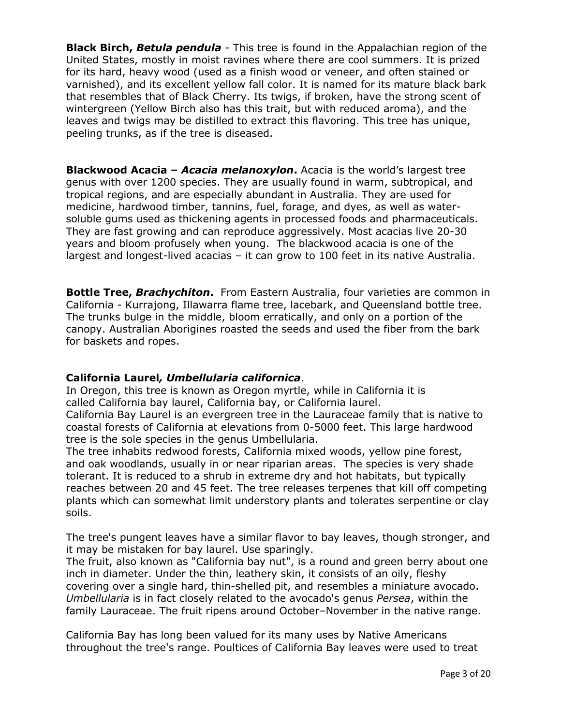**Black Birch,** *Betula pendula* - This tree is found in the Appalachian region of the United States, mostly in moist ravines where there are cool summers. It is prized for its hard, heavy wood (used as a finish wood or veneer, and often stained or varnished), and its excellent yellow fall color. It is named for its mature black bark that resembles that of Black Cherry. Its twigs, if broken, have the strong scent of wintergreen (Yellow Birch also has this trait, but with reduced aroma), and the leaves and twigs may be distilled to extract this flavoring. This tree has unique, peeling trunks, as if the tree is diseased.

**Blackwood Acacia –** *Acacia melanoxylon***.** Acacia is the world's largest tree genus with over 1200 species. They are usually found in warm, subtropical, and tropical regions, and are especially abundant in Australia. They are used for medicine, hardwood timber, tannins, fuel, forage, and dyes, as well as watersoluble gums used as thickening agents in processed foods and pharmaceuticals. They are fast growing and can reproduce aggressively. Most acacias live 20-30 years and bloom profusely when young. The blackwood acacia is one of the largest and longest-lived acacias – it can grow to 100 feet in its native Australia.

**Bottle Tree,** *Brachychiton***.** From Eastern Australia, four varieties are common in California - Kurrajong, Illawarra flame tree, lacebark, and Queensland bottle tree. The trunks bulge in the middle, bloom erratically, and only on a portion of the canopy. Australian Aborigines roasted the seeds and used the fiber from the bark for baskets and ropes.

## **California Laurel***, Umbellularia californica*.

In Oregon, this tree is known as Oregon myrtle, while in California it is called California bay laurel, California bay, or California laurel.

California Bay Laurel is an evergreen tree in the Lauraceae family that is native to coastal forests of California at elevations from 0-5000 feet. This large hardwood tree is the sole species in the genus Umbellularia.

The tree inhabits redwood forests, California mixed woods, yellow pine forest, and oak woodlands, usually in or near riparian areas. The species is very shade tolerant. It is reduced to a shrub in extreme dry and hot habitats, but typically reaches between 20 and 45 feet. The tree releases terpenes that kill off competing plants which can somewhat limit understory plants and tolerates serpentine or clay soils.

The tree's pungent leaves have a similar flavor to bay leaves, though stronger, and it may be mistaken for bay laurel. Use sparingly.

The fruit, also known as "California bay nut", is a round and green berry about one inch in diameter. Under the thin, leathery skin, it consists of an oily, fleshy covering over a single hard, thin-shelled pit, and resembles a miniature avocado. *Umbellularia* is in fact closely related to the avocado's genus *Persea*, within the family Lauraceae. The fruit ripens around October–November in the native range.

California Bay has long been valued for its many uses by Native Americans throughout the tree's range. Poultices of California Bay leaves were used to treat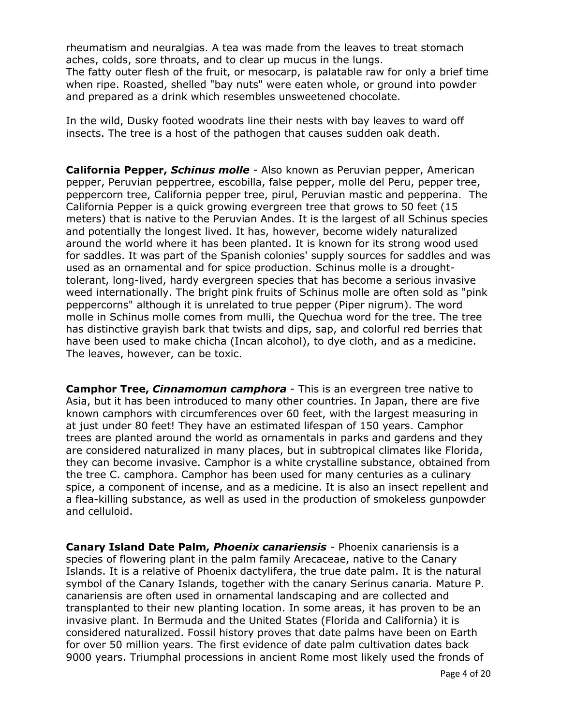rheumatism and neuralgias. A tea was made from the leaves to treat stomach aches, colds, sore throats, and to clear up mucus in the lungs. The fatty outer flesh of the fruit, or mesocarp, is palatable raw for only a brief time when ripe. Roasted, shelled "bay nuts" were eaten whole, or ground into powder and prepared as a drink which resembles unsweetened chocolate.

In the wild, Dusky footed woodrats line their nests with bay leaves to ward off insects. The tree is a host of the pathogen that causes sudden oak death.

**California Pepper,** *Schinus molle* - Also known as Peruvian pepper, American pepper, Peruvian peppertree, escobilla, false pepper, molle del Peru, pepper tree, peppercorn tree, California pepper tree, pirul, Peruvian mastic and pepperina. The California Pepper is a quick growing evergreen tree that grows to 50 feet (15 meters) that is native to the Peruvian Andes. It is the largest of all Schinus species and potentially the longest lived. It has, however, become widely naturalized around the world where it has been planted. It is known for its strong wood used for saddles. It was part of the Spanish colonies' supply sources for saddles and was used as an ornamental and for spice production. Schinus molle is a droughttolerant, long-lived, hardy evergreen species that has become a serious invasive weed internationally. The bright pink fruits of Schinus molle are often sold as "pink peppercorns" although it is unrelated to true pepper (Piper nigrum). The word molle in Schinus molle comes from mulli, the Quechua word for the tree. The tree has distinctive grayish bark that twists and dips, sap, and colorful red berries that have been used to make chicha (Incan alcohol), to dye cloth, and as a medicine. The leaves, however, can be toxic.

**Camphor Tree,** *Cinnamomun camphora* - This is an evergreen tree native to Asia, but it has been introduced to many other countries. In Japan, there are five known camphors with circumferences over 60 feet, with the largest measuring in at just under 80 feet! They have an estimated lifespan of 150 years. Camphor trees are planted around the world as ornamentals in parks and gardens and they are considered naturalized in many places, but in subtropical climates like Florida, they can become invasive. Camphor is a white crystalline substance, obtained from the tree C. camphora. Camphor has been used for many centuries as a culinary spice, a component of incense, and as a medicine. It is also an insect repellent and a flea-killing substance, as well as used in the production of smokeless gunpowder and celluloid.

**Canary Island Date Palm,** *Phoenix canariensis* - Phoenix canariensis is a species of flowering plant in the palm family Arecaceae, native to the Canary Islands. It is a relative of Phoenix dactylifera, the true date palm. It is the natural symbol of the Canary Islands, together with the canary Serinus canaria. Mature P. canariensis are often used in ornamental landscaping and are collected and transplanted to their new planting location. In some areas, it has proven to be an invasive plant. In Bermuda and the United States (Florida and California) it is considered naturalized. Fossil history proves that date palms have been on Earth for over 50 million years. The first evidence of date palm cultivation dates back 9000 years. Triumphal processions in ancient Rome most likely used the fronds of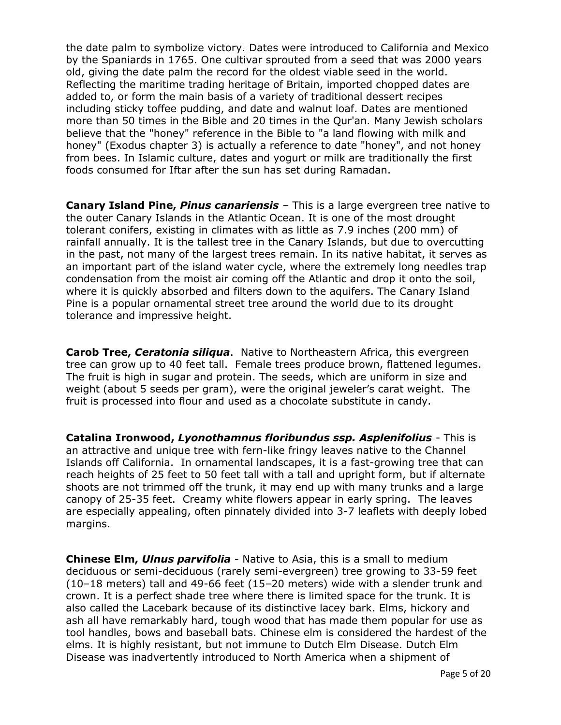the date palm to symbolize victory. Dates were introduced to California and Mexico by the Spaniards in 1765. One cultivar sprouted from a seed that was 2000 years old, giving the date palm the record for the oldest viable seed in the world. Reflecting the maritime trading heritage of Britain, imported chopped dates are added to, or form the main basis of a variety of traditional dessert recipes including sticky toffee pudding, and date and walnut loaf. Dates are mentioned more than 50 times in the Bible and 20 times in the Qur'an. Many Jewish scholars believe that the "honey" reference in the Bible to "a land flowing with milk and honey" (Exodus chapter 3) is actually a reference to date "honey", and not honey from bees. In Islamic culture, dates and yogurt or milk are traditionally the first foods consumed for Iftar after the sun has set during Ramadan.

**Canary Island Pine,** *Pinus canariensis* – This is a large evergreen tree native to the outer Canary Islands in the Atlantic Ocean. It is one of the most drought tolerant conifers, existing in climates with as little as 7.9 inches (200 mm) of rainfall annually. It is the tallest tree in the Canary Islands, but due to overcutting in the past, not many of the largest trees remain. In its native habitat, it serves as an important part of the island water cycle, where the extremely long needles trap condensation from the moist air coming off the Atlantic and drop it onto the soil, where it is quickly absorbed and filters down to the aquifers. The Canary Island Pine is a popular ornamental street tree around the world due to its drought tolerance and impressive height.

**Carob Tree,** *Ceratonia siliqua*. Native to Northeastern Africa, this evergreen tree can grow up to 40 feet tall. Female trees produce brown, flattened legumes. The fruit is high in sugar and protein. The seeds, which are uniform in size and weight (about 5 seeds per gram), were the original jeweler's carat weight. The fruit is processed into flour and used as a chocolate substitute in candy.

**Catalina Ironwood,** *Lyonothamnus floribundus ssp. Asplenifolius* - This is an attractive and unique tree with fern-like fringy leaves native to the Channel Islands off California. In ornamental landscapes, it is a fast-growing tree that can reach heights of 25 feet to 50 feet tall with a tall and upright form, but if alternate shoots are not trimmed off the trunk, it may end up with many trunks and a large canopy of 25-35 feet. Creamy white flowers appear in early spring. The leaves are especially appealing, often pinnately divided into 3-7 leaflets with deeply lobed margins.

**Chinese Elm,** *Ulnus parvifolia* - Native to Asia, this is a small to medium deciduous or semi-deciduous (rarely semi-evergreen) tree growing to 33-59 feet (10–18 meters) tall and 49-66 feet (15–20 meters) wide with a slender trunk and crown. It is a perfect shade tree where there is limited space for the trunk. It is also called the Lacebark because of its distinctive lacey bark. Elms, hickory and ash all have remarkably hard, tough wood that has made them popular for use as tool handles, bows and baseball bats. Chinese elm is considered the hardest of the elms. It is highly resistant, but not immune to Dutch Elm Disease. Dutch Elm Disease was inadvertently introduced to North America when a shipment of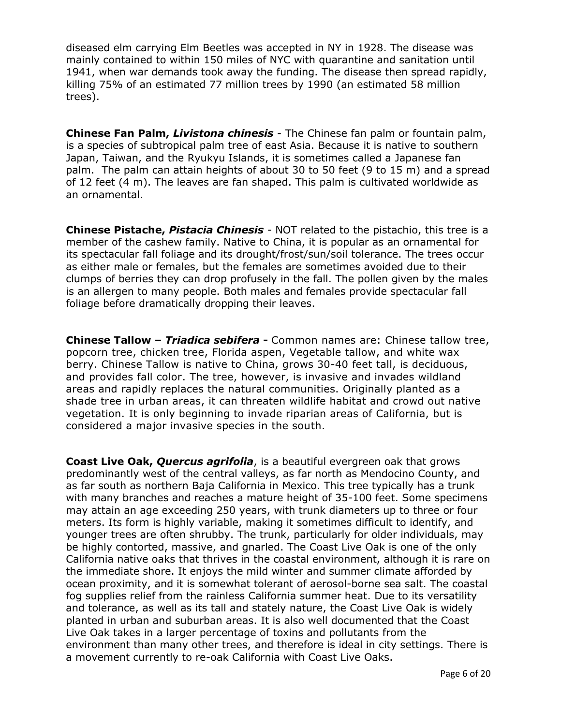diseased elm carrying Elm Beetles was accepted in NY in 1928. The disease was mainly contained to within 150 miles of NYC with quarantine and sanitation until 1941, when war demands took away the funding. The disease then spread rapidly, killing 75% of an estimated 77 million trees by 1990 (an estimated 58 million trees).

**Chinese Fan Palm,** *Livistona chinesis* - The Chinese fan palm or fountain palm, is a species of subtropical palm tree of east Asia. Because it is native to southern Japan, Taiwan, and the Ryukyu Islands, it is sometimes called a Japanese fan palm. The palm can attain heights of about 30 to 50 feet (9 to 15 m) and a spread of 12 feet (4 m). The leaves are fan shaped. This palm is cultivated worldwide as an ornamental.

**Chinese Pistache,** *Pistacia Chinesis* - NOT related to the pistachio, this tree is a member of the cashew family. Native to China, it is popular as an ornamental for its spectacular fall foliage and its drought/frost/sun/soil tolerance. The trees occur as either male or females, but the females are sometimes avoided due to their clumps of berries they can drop profusely in the fall. The pollen given by the males is an allergen to many people. Both males and females provide spectacular fall foliage before dramatically dropping their leaves.

**Chinese Tallow –** *Triadica sebifera* **-** Common names are: Chinese tallow tree, popcorn tree, chicken tree, Florida aspen, Vegetable tallow, and white wax berry. Chinese Tallow is native to China, grows 30-40 feet tall, is deciduous, and provides fall color. The tree, however, is invasive and invades wildland areas and rapidly replaces the natural communities. Originally planted as a shade tree in urban areas, it can threaten wildlife habitat and crowd out native vegetation. It is only beginning to invade riparian areas of California, but is considered a major invasive species in the south.

**Coast Live Oak,** *Quercus agrifolia*, is a beautiful evergreen oak that grows predominantly west of the central valleys, as far north as Mendocino County, and as far south as northern Baja California in Mexico. This tree typically has a trunk with many branches and reaches a mature height of 35-100 feet. Some specimens may attain an age exceeding 250 years, with trunk diameters up to three or four meters. Its form is highly variable, making it sometimes difficult to identify, and younger trees are often shrubby. The trunk, particularly for older individuals, may be highly contorted, massive, and gnarled. The Coast Live Oak is one of the only California native oaks that thrives in the coastal environment, although it is rare on the immediate shore. It enjoys the mild winter and summer climate afforded by ocean proximity, and it is somewhat tolerant of aerosol-borne sea salt. The coastal fog supplies relief from the rainless California summer heat. Due to its versatility and tolerance, as well as its tall and stately nature, the Coast Live Oak is widely planted in urban and suburban areas. It is also well documented that the Coast Live Oak takes in a larger percentage of toxins and pollutants from the environment than many other trees, and therefore is ideal in city settings. There is a movement currently to re-oak California with Coast Live Oaks.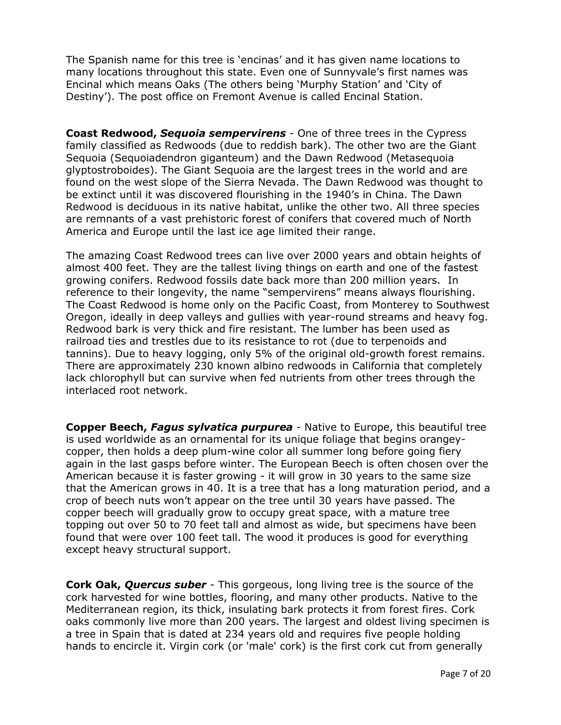The Spanish name for this tree is 'encinas' and it has given name locations to many locations throughout this state. Even one of Sunnyvale's first names was Encinal which means Oaks (The others being 'Murphy Station' and 'City of Destiny'). The post office on Fremont Avenue is called Encinal Station.

**Coast Redwood,** *Sequoia sempervirens* - One of three trees in the Cypress family classified as Redwoods (due to reddish bark). The other two are the Giant Sequoia (Sequoiadendron giganteum) and the Dawn Redwood (Metasequoia glyptostroboides). The Giant Sequoia are the largest trees in the world and are found on the west slope of the Sierra Nevada. The Dawn Redwood was thought to be extinct until it was discovered flourishing in the 1940's in China. The Dawn Redwood is deciduous in its native habitat, unlike the other two. All three species are remnants of a vast prehistoric forest of conifers that covered much of North America and Europe until the last ice age limited their range.

The amazing Coast Redwood trees can live over 2000 years and obtain heights of almost 400 feet. They are the tallest living things on earth and one of the fastest growing conifers. Redwood fossils date back more than 200 million years. In reference to their longevity, the name "sempervirens" means always flourishing. The Coast Redwood is home only on the Pacific Coast, from Monterey to Southwest Oregon, ideally in deep valleys and gullies with year-round streams and heavy fog. Redwood bark is very thick and fire resistant. The lumber has been used as railroad ties and trestles due to its resistance to rot (due to terpenoids and tannins). Due to heavy logging, only 5% of the original old-growth forest remains. There are approximately 230 known albino redwoods in California that completely lack chlorophyll but can survive when fed nutrients from other trees through the interlaced root network.

**Copper Beech,** *Fagus sylvatica purpurea* - Native to Europe, this beautiful tree is used worldwide as an ornamental for its unique foliage that begins orangeycopper, then holds a deep plum-wine color all summer long before going fiery again in the last gasps before winter. The European Beech is often chosen over the American because it is faster growing - it will grow in 30 years to the same size that the American grows in 40. It is a tree that has a long maturation period, and a crop of beech nuts won't appear on the tree until 30 years have passed. The copper beech will gradually grow to occupy great space, with a mature tree topping out over 50 to 70 feet tall and almost as wide, but specimens have been found that were over 100 feet tall. The wood it produces is good for everything except heavy structural support.

**Cork Oak,** *Quercus suber* - This gorgeous, long living tree is the source of the cork harvested for wine bottles, flooring, and many other products. Native to the Mediterranean region, its thick, insulating bark protects it from forest fires. Cork oaks commonly live more than 200 years. The largest and oldest living specimen is a tree in Spain that is dated at 234 years old and requires five people holding hands to encircle it. Virgin cork (or 'male' cork) is the first cork cut from generally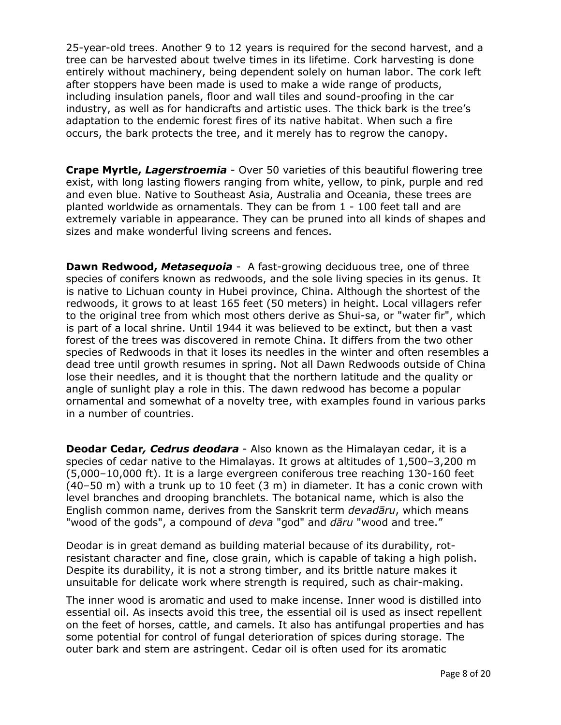25-year-old trees. Another 9 to 12 years is required for the second harvest, and a tree can be harvested about twelve times in its lifetime. Cork harvesting is done entirely without machinery, being dependent solely on human labor. The cork left after stoppers have been made is used to make a wide range of products, including insulation panels, floor and wall tiles and sound-proofing in the car industry, as well as for handicrafts and artistic uses. The thick bark is the tree's adaptation to the endemic forest fires of its native habitat. When such a fire occurs, the bark protects the tree, and it merely has to regrow the canopy.

**Crape Myrtle,** *Lagerstroemia* - Over 50 varieties of this beautiful flowering tree exist, with long lasting flowers ranging from white, yellow, to pink, purple and red and even blue. Native to Southeast Asia, Australia and Oceania, these trees are planted worldwide as ornamentals. They can be from 1 - 100 feet tall and are extremely variable in appearance. They can be pruned into all kinds of shapes and sizes and make wonderful living screens and fences.

**Dawn Redwood,** *Metasequoia* - A fast-growing deciduous tree, one of three species of conifers known as redwoods, and the sole living species in its genus. It is native to Lichuan county in Hubei province, China. Although the shortest of the redwoods, it grows to at least 165 feet (50 meters) in height. Local villagers refer to the original tree from which most others derive as Shui-sa, or "water fir", which is part of a local shrine. Until 1944 it was believed to be extinct, but then a vast forest of the trees was discovered in remote China. It differs from the two other species of Redwoods in that it loses its needles in the winter and often resembles a dead tree until growth resumes in spring. Not all Dawn Redwoods outside of China lose their needles, and it is thought that the northern latitude and the quality or angle of sunlight play a role in this. The dawn redwood has become a popular ornamental and somewhat of a novelty tree, with examples found in various parks in a number of countries.

**Deodar Cedar***, Cedrus deodara* - Also known as the Himalayan cedar, it is a species of cedar native to the Himalayas. It grows at altitudes of 1,500–3,200 m (5,000–10,000 ft). It is a large evergreen coniferous tree reaching 130-160 feet  $(40-50 \text{ m})$  with a trunk up to 10 feet  $(3 \text{ m})$  in diameter. It has a conic crown with level branches and drooping branchlets. The botanical name, which is also the English common name, derives from the Sanskrit term *devadāru*, which means "wood of the gods", a compound of *deva* "god" and *dāru* "wood and tree."

Deodar is in great demand as building material because of its durability, rotresistant character and fine, close grain, which is capable of taking a high polish. Despite its durability, it is not a strong timber, and its brittle nature makes it unsuitable for delicate work where strength is required, such as chair-making.

The inner wood is aromatic and used to make incense. Inner wood is distilled into essential oil. As insects avoid this tree, the essential oil is used as insect repellent on the feet of horses, cattle, and camels. It also has antifungal properties and has some potential for control of fungal deterioration of spices during storage. The outer bark and stem are astringent. Cedar oil is often used for its aromatic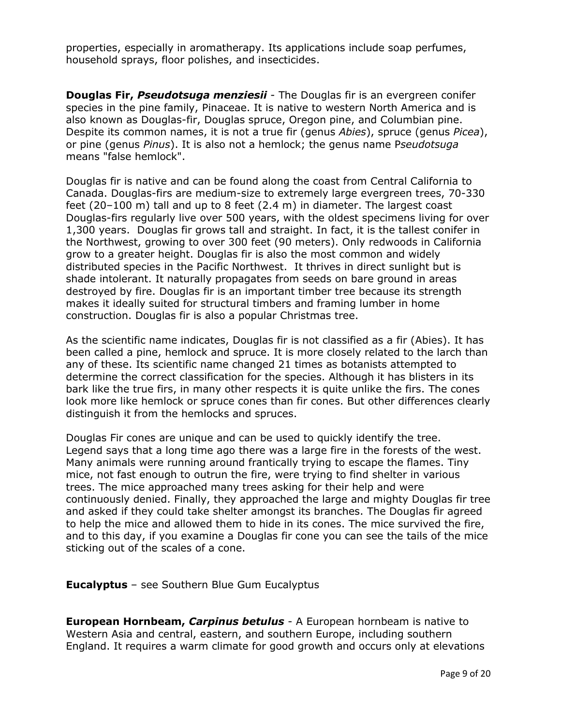properties, especially in aromatherapy. Its applications include soap perfumes, household sprays, floor polishes, and insecticides.

**Douglas Fir,** *Pseudotsuga menziesii* - The Douglas fir is an evergreen conifer species in the pine family, Pinaceae. It is native to western North America and is also known as Douglas-fir, Douglas spruce, Oregon pine, and Columbian pine. Despite its common names, it is not a true fir (genus *Abies*), spruce (genus *Picea*), or pine (genus *Pinus*). It is also not a hemlock; the genus name P*seudotsuga*  means "false hemlock".

Douglas fir is native and can be found along the coast from Central California to Canada. Douglas-firs are medium-size to extremely large evergreen trees, 70-330 feet (20–100 m) tall and up to 8 feet (2.4 m) in diameter. The largest coast Douglas-firs regularly live over 500 years, with the oldest specimens living for over 1,300 years. Douglas fir grows tall and straight. In fact, it is the tallest conifer in the Northwest, growing to over 300 feet (90 meters). Only redwoods in California grow to a greater height. Douglas fir is also the most common and widely distributed species in the Pacific Northwest. It thrives in direct sunlight but is shade intolerant. It naturally propagates from seeds on bare ground in areas destroyed by fire. Douglas fir is an important timber tree because its strength makes it ideally suited for structural timbers and framing lumber in home construction. Douglas fir is also a popular Christmas tree.

As the scientific name indicates, Douglas fir is not classified as a fir (Abies). It has been called a pine, hemlock and spruce. It is more closely related to the larch than any of these. Its scientific name changed 21 times as botanists attempted to determine the correct classification for the species. Although it has blisters in its bark like the true firs, in many other respects it is quite unlike the firs. The cones look more like hemlock or spruce cones than fir cones. But other differences clearly distinguish it from the hemlocks and spruces.

Douglas Fir cones are unique and can be used to quickly identify the tree. Legend says that a long time ago there was a large fire in the forests of the west. Many animals were running around frantically trying to escape the flames. Tiny mice, not fast enough to outrun the fire, were trying to find shelter in various trees. The mice approached many trees asking for their help and were continuously denied. Finally, they approached the large and mighty Douglas fir tree and asked if they could take shelter amongst its branches. The Douglas fir agreed to help the mice and allowed them to hide in its cones. The mice survived the fire, and to this day, if you examine a Douglas fir cone you can see the tails of the mice sticking out of the scales of a cone.

**Eucalyptus** – see Southern Blue Gum Eucalyptus

**European Hornbeam,** *Carpinus betulus* - A European hornbeam is native to Western Asia and central, eastern, and southern Europe, including southern England. It requires a warm climate for good growth and occurs only at elevations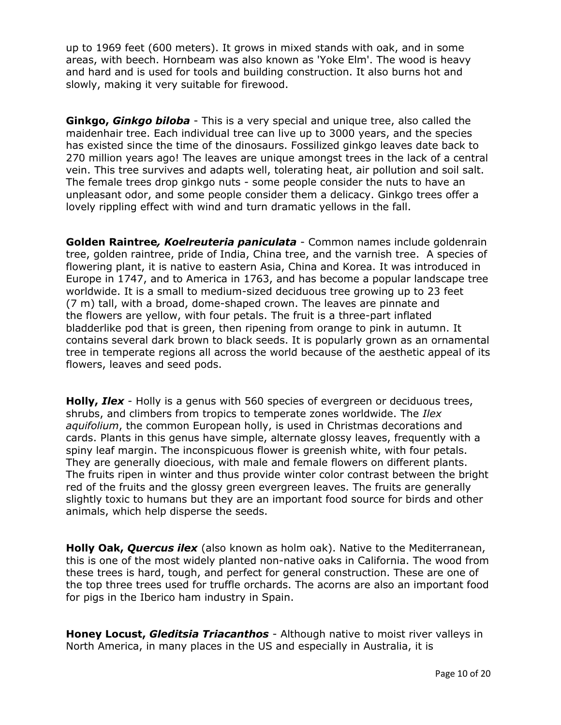up to 1969 feet (600 meters). It grows in mixed stands with oak, and in some areas, with beech. Hornbeam was also known as 'Yoke Elm'. The wood is heavy and hard and is used for tools and building construction. It also burns hot and slowly, making it very suitable for firewood.

**Ginkgo,** *Ginkgo biloba* - This is a very special and unique tree, also called the maidenhair tree. Each individual tree can live up to 3000 years, and the species has existed since the time of the dinosaurs. Fossilized ginkgo leaves date back to 270 million years ago! The leaves are unique amongst trees in the lack of a central vein. This tree survives and adapts well, tolerating heat, air pollution and soil salt. The female trees drop ginkgo nuts - some people consider the nuts to have an unpleasant odor, and some people consider them a delicacy. Ginkgo trees offer a lovely rippling effect with wind and turn dramatic yellows in the fall.

**Golden Raintree***, Koelreuteria paniculata* - Common names include goldenrain tree, golden raintree, pride of India, China tree, and the varnish tree. A species of flowering plant, it is native to eastern Asia, China and Korea. It was introduced in Europe in 1747, and to America in 1763, and has become a popular landscape tree worldwide. It is a small to medium-sized deciduous tree growing up to 23 feet (7 m) tall, with a broad, dome-shaped crown. The leaves are pinnate and the flowers are yellow, with four petals. The fruit is a three-part inflated bladderlike pod that is green, then ripening from orange to pink in autumn. It contains several dark brown to black seeds. It is popularly grown as an ornamental tree in temperate regions all across the world because of the aesthetic appeal of its flowers, leaves and seed pods.

**Holly,** *Ilex* - Holly is a genus with 560 species of evergreen or deciduous trees, shrubs, and climbers from tropics to temperate zones worldwide. The *Ilex aquifolium*, the common European holly, is used in Christmas decorations and cards. Plants in this genus have simple, alternate glossy leaves, frequently with a spiny leaf margin. The inconspicuous flower is greenish white, with four petals. They are generally dioecious, with male and female flowers on different plants. The fruits ripen in winter and thus provide winter color contrast between the bright red of the fruits and the glossy green evergreen leaves. The fruits are generally slightly toxic to humans but they are an important food source for birds and other animals, which help disperse the seeds.

**Holly Oak,** *Quercus ilex* (also known as holm oak). Native to the Mediterranean, this is one of the most widely planted non-native oaks in California. The wood from these trees is hard, tough, and perfect for general construction. These are one of the top three trees used for truffle orchards. The acorns are also an important food for pigs in the Iberico ham industry in Spain.

**Honey Locust,** *Gleditsia Triacanthos* - Although native to moist river valleys in North America, in many places in the US and especially in Australia, it is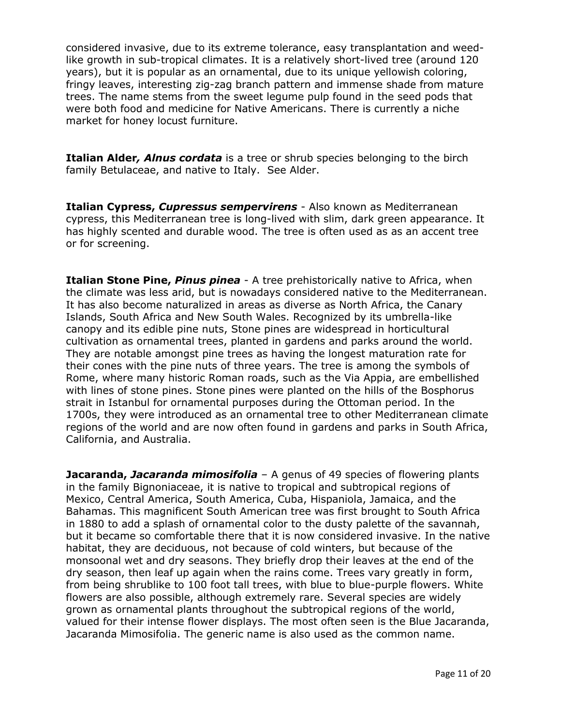considered invasive, due to its extreme tolerance, easy transplantation and weedlike growth in sub-tropical climates. It is a relatively short-lived tree (around 120 years), but it is popular as an ornamental, due to its unique yellowish coloring, fringy leaves, interesting zig-zag branch pattern and immense shade from mature trees. The name stems from the sweet legume pulp found in the seed pods that were both food and medicine for Native Americans. There is currently a niche market for honey locust furniture.

**Italian Alder***, Alnus cordata* is a tree or shrub species belonging to the birch family Betulaceae, and native to Italy. See Alder.

**Italian Cypress,** *Cupressus sempervirens* - Also known as Mediterranean cypress, this Mediterranean tree is long-lived with slim, dark green appearance. It has highly scented and durable wood. The tree is often used as as an accent tree or for screening.

**Italian Stone Pine,** *Pinus pinea* - A tree prehistorically native to Africa, when the climate was less arid, but is nowadays considered native to the Mediterranean. It has also become naturalized in areas as diverse as North Africa, the Canary Islands, South Africa and New South Wales. Recognized by its umbrella-like canopy and its edible pine nuts, Stone pines are widespread in horticultural cultivation as ornamental trees, planted in gardens and parks around the world. They are notable amongst pine trees as having the longest maturation rate for their cones with the pine nuts of three years. The tree is among the symbols of Rome, where many historic Roman roads, such as the Via Appia, are embellished with lines of stone pines. Stone pines were planted on the hills of the Bosphorus strait in Istanbul for ornamental purposes during the Ottoman period. In the 1700s, they were introduced as an ornamental tree to other Mediterranean climate regions of the world and are now often found in gardens and parks in South Africa, California, and Australia.

**Jacaranda,** *Jacaranda mimosifolia* – A genus of 49 species of flowering plants in the family Bignoniaceae, it is native to tropical and subtropical regions of Mexico, Central America, South America, Cuba, Hispaniola, Jamaica, and the Bahamas. This magnificent South American tree was first brought to South Africa in 1880 to add a splash of ornamental color to the dusty palette of the savannah, but it became so comfortable there that it is now considered invasive. In the native habitat, they are deciduous, not because of cold winters, but because of the monsoonal wet and dry seasons. They briefly drop their leaves at the end of the dry season, then leaf up again when the rains come. Trees vary greatly in form, from being shrublike to 100 foot tall trees, with blue to blue-purple flowers. White flowers are also possible, although extremely rare. Several species are widely grown as ornamental plants throughout the subtropical regions of the world, valued for their intense flower displays. The most often seen is the Blue Jacaranda, Jacaranda Mimosifolia. The generic name is also used as the common name.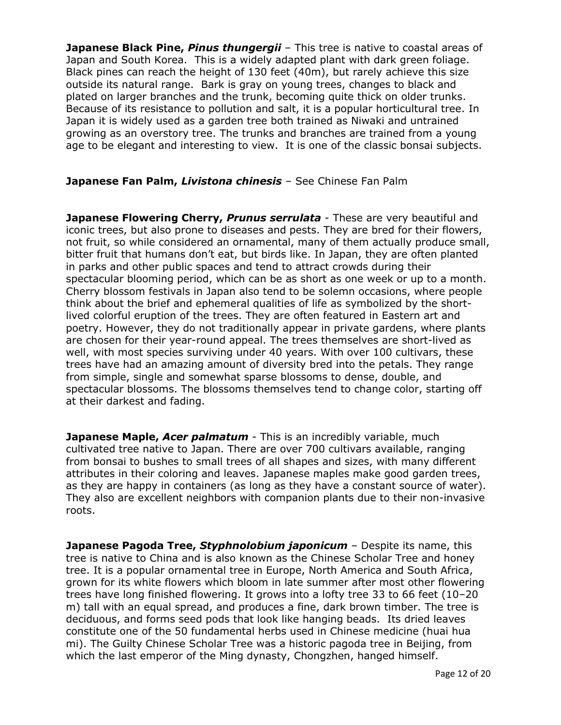**Japanese Black Pine, Pinus thungergii** - This tree is native to coastal areas of Japan and South Korea. This is a widely adapted plant with dark green foliage. Black pines can reach the height of 130 feet (40m), but rarely achieve this size outside its natural range. Bark is gray on young trees, changes to black and plated on larger branches and the trunk, becoming quite thick on older trunks. Because of its resistance to pollution and salt, it is a popular horticultural tree. In Japan it is widely used as a garden tree both trained as Niwaki and untrained growing as an overstory tree. The trunks and branches are trained from a young age to be elegant and interesting to view. It is one of the classic bonsai subjects.

## **Japanese Fan Palm,** *Livistona chinesis* – See Chinese Fan Palm

**Japanese Flowering Cherry, Prunus serrulata** - These are very beautiful and iconic trees, but also prone to diseases and pests. They are bred for their flowers, not fruit, so while considered an ornamental, many of them actually produce small, bitter fruit that humans don't eat, but birds like. In Japan, they are often planted in parks and other public spaces and tend to attract crowds during their spectacular blooming period, which can be as short as one week or up to a month. Cherry blossom festivals in Japan also tend to be solemn occasions, where people think about the brief and ephemeral qualities of life as symbolized by the shortlived colorful eruption of the trees. They are often featured in Eastern art and poetry. However, they do not traditionally appear in private gardens, where plants are chosen for their year-round appeal. The trees themselves are short-lived as well, with most species surviving under 40 years. With over 100 cultivars, these trees have had an amazing amount of diversity bred into the petals. They range from simple, single and somewhat sparse blossoms to dense, double, and spectacular blossoms. The blossoms themselves tend to change color, starting off at their darkest and fading.

**Japanese Maple,** *Acer palmatum* - This is an incredibly variable, much cultivated tree native to Japan. There are over 700 cultivars available, ranging from bonsai to bushes to small trees of all shapes and sizes, with many different attributes in their coloring and leaves. Japanese maples make good garden trees, as they are happy in containers (as long as they have a constant source of water). They also are excellent neighbors with companion plants due to their non-invasive roots.

**Japanese Pagoda Tree,** *Styphnolobium japonicum* – Despite its name, this tree is native to China and is also known as the Chinese Scholar Tree and honey tree. It is a popular ornamental tree in Europe, North America and South Africa, grown for its white flowers which bloom in late summer after most other flowering trees have long finished flowering. It grows into a lofty tree 33 to 66 feet (10–20 m) tall with an equal spread, and produces a fine, dark brown timber. The tree is deciduous, and forms seed pods that look like hanging beads. Its dried leaves constitute one of the 50 fundamental herbs used in Chinese medicine (huai hua mi). The Guilty Chinese Scholar Tree was a historic pagoda tree in Beijing, from which the last emperor of the Ming dynasty, Chongzhen, hanged himself.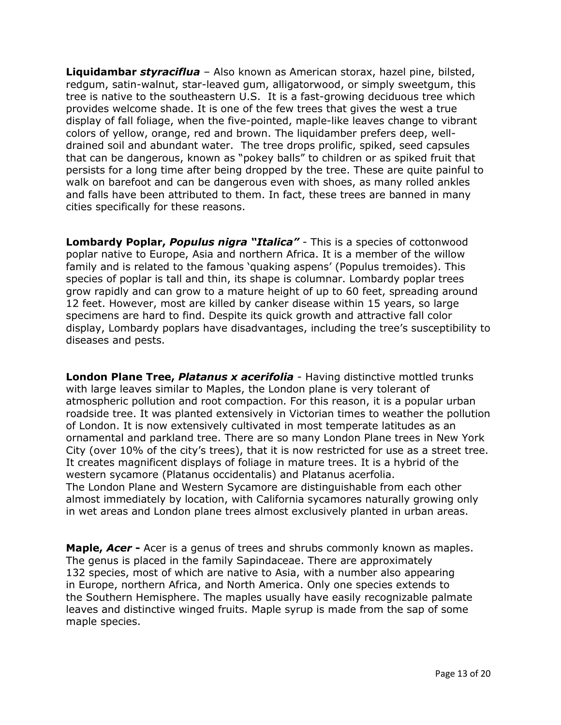**Liquidambar** *styraciflua* – Also known as American storax, hazel pine, bilsted, redgum, satin-walnut, star-leaved gum, alligatorwood, or simply sweetgum, this tree is native to the southeastern U.S. It is a fast-growing deciduous tree which provides welcome shade. It is one of the few trees that gives the west a true display of fall foliage, when the five-pointed, maple-like leaves change to vibrant colors of yellow, orange, red and brown. The liquidamber prefers deep, welldrained soil and abundant water. The tree drops prolific, spiked, seed capsules that can be dangerous, known as "pokey balls" to children or as spiked fruit that persists for a long time after being dropped by the tree. These are quite painful to walk on barefoot and can be dangerous even with shoes, as many rolled ankles and falls have been attributed to them. In fact, these trees are banned in many cities specifically for these reasons.

**Lombardy Poplar,** *Populus nigra "Italica"* - This is a species of cottonwood poplar native to Europe, Asia and northern Africa. It is a member of the willow family and is related to the famous 'quaking aspens' (Populus tremoides). This species of poplar is tall and thin, its shape is columnar. Lombardy poplar trees grow rapidly and can grow to a mature height of up to 60 feet, spreading around 12 feet. However, most are killed by canker disease within 15 years, so large specimens are hard to find. Despite its quick growth and attractive fall color display, Lombardy poplars have disadvantages, including the tree's susceptibility to diseases and pests.

**London Plane Tree,** *Platanus x acerifolia* - Having distinctive mottled trunks with large leaves similar to Maples, the London plane is very tolerant of atmospheric pollution and root compaction. For this reason, it is a popular urban roadside tree. It was planted extensively in Victorian times to weather the pollution of London. It is now extensively cultivated in most temperate latitudes as an ornamental and parkland tree. There are so many London Plane trees in New York City (over 10% of the city's trees), that it is now restricted for use as a street tree. It creates magnificent displays of foliage in mature trees. It is a hybrid of the western sycamore (Platanus occidentalis) and Platanus acerfolia. The London Plane and Western Sycamore are distinguishable from each other almost immediately by location, with California sycamores naturally growing only in wet areas and London plane trees almost exclusively planted in urban areas.

**Maple,** *Acer* **-** Acer is a genus of trees and shrubs commonly known as maples. The genus is placed in the family Sapindaceae. There are approximately 132 species, most of which are native to Asia, with a number also appearing in Europe, northern Africa, and North America. Only one species extends to the Southern Hemisphere. The maples usually have easily recognizable palmate leaves and distinctive winged fruits. Maple syrup is made from the sap of some maple species.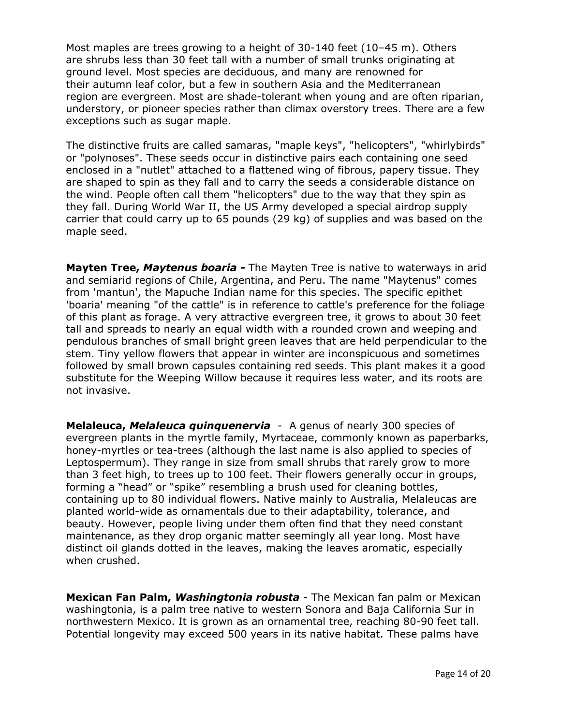Most maples are trees growing to a height of 30-140 feet (10–45 m). Others are shrubs less than 30 feet tall with a number of small trunks originating at ground level. Most species are deciduous, and many are renowned for their autumn leaf color, but a few in southern Asia and the Mediterranean region are evergreen. Most are shade-tolerant when young and are often riparian, understory, or pioneer species rather than climax overstory trees. There are a few exceptions such as sugar maple.

The distinctive fruits are called samaras, "maple keys", "helicopters", "whirlybirds" or "polynoses". These seeds occur in distinctive pairs each containing one seed enclosed in a "nutlet" attached to a flattened wing of fibrous, papery tissue. They are shaped to spin as they fall and to carry the seeds a considerable distance on the wind. People often call them "helicopters" due to the way that they spin as they fall. During World War II, the US Army developed a special airdrop supply carrier that could carry up to 65 pounds (29 kg) of supplies and was based on the maple seed.

**Mayten Tree,** *Maytenus boaria -* The Mayten Tree is native to waterways in arid and semiarid regions of Chile, Argentina, and Peru. The name "Maytenus" comes from 'mantun', the Mapuche Indian name for this species. The specific epithet 'boaria' meaning "of the cattle" is in reference to cattle's preference for the foliage of this plant as forage. A very attractive evergreen tree, it grows to about 30 feet tall and spreads to nearly an equal width with a rounded crown and weeping and pendulous branches of small bright green leaves that are held perpendicular to the stem. Tiny yellow flowers that appear in winter are inconspicuous and sometimes followed by small brown capsules containing red seeds. This plant makes it a good substitute for the Weeping Willow because it requires less water, and its roots are not invasive.

**Melaleuca,** *Melaleuca quinquenervia* - A genus of nearly 300 species of evergreen plants in the myrtle family, Myrtaceae, commonly known as paperbarks, honey-myrtles or tea-trees (although the last name is also applied to species of Leptospermum). They range in size from small shrubs that rarely grow to more than 3 feet high, to trees up to 100 feet. Their flowers generally occur in groups, forming a "head" or "spike" resembling a brush used for cleaning bottles, containing up to 80 individual flowers. Native mainly to Australia, Melaleucas are planted world-wide as ornamentals due to their adaptability, tolerance, and beauty. However, people living under them often find that they need constant maintenance, as they drop organic matter seemingly all year long. Most have distinct oil glands dotted in the leaves, making the leaves aromatic, especially when crushed.

**Mexican Fan Palm,** *Washingtonia robusta* - The Mexican fan palm or Mexican washingtonia, is a palm tree native to western Sonora and Baja California Sur in northwestern Mexico. It is grown as an ornamental tree, reaching 80-90 feet tall. Potential longevity may exceed 500 years in its native habitat. These palms have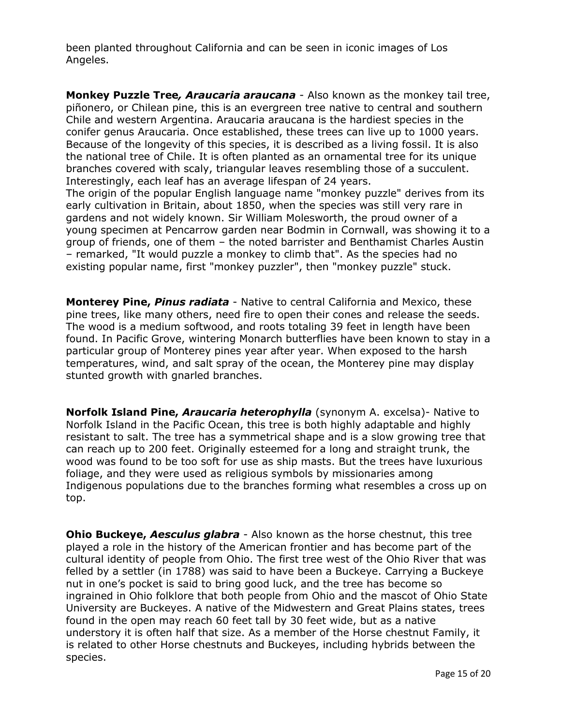been planted throughout California and can be seen in iconic images of Los Angeles.

**Monkey Puzzle Tree***, Araucaria araucana* - Also known as the monkey tail tree, piñonero, or Chilean pine, this is an evergreen tree native to central and southern Chile and western Argentina. Araucaria araucana is the hardiest species in the conifer genus Araucaria. Once established, these trees can live up to 1000 years. Because of the longevity of this species, it is described as a living fossil. It is also the national tree of Chile. It is often planted as an ornamental tree for its unique branches covered with scaly, triangular leaves resembling those of a succulent. Interestingly, each leaf has an average lifespan of 24 years.

The origin of the popular English language name "monkey puzzle" derives from its early cultivation in Britain, about 1850, when the species was still very rare in gardens and not widely known. Sir William Molesworth, the proud owner of a young specimen at Pencarrow garden near Bodmin in Cornwall, was showing it to a group of friends, one of them – the noted barrister and Benthamist Charles Austin – remarked, "It would puzzle a monkey to climb that". As the species had no existing popular name, first "monkey puzzler", then "monkey puzzle" stuck.

**Monterey Pine,** *Pinus radiata* - Native to central California and Mexico, these pine trees, like many others, need fire to open their cones and release the seeds. The wood is a medium softwood, and roots totaling 39 feet in length have been found. In Pacific Grove, wintering Monarch butterflies have been known to stay in a particular group of Monterey pines year after year. When exposed to the harsh temperatures, wind, and salt spray of the ocean, the Monterey pine may display stunted growth with gnarled branches.

**Norfolk Island Pine,** *Araucaria heterophylla* (synonym A. excelsa)- Native to Norfolk Island in the Pacific Ocean, this tree is both highly adaptable and highly resistant to salt. The tree has a symmetrical shape and is a slow growing tree that can reach up to 200 feet. Originally esteemed for a long and straight trunk, the wood was found to be too soft for use as ship masts. But the trees have luxurious foliage, and they were used as religious symbols by missionaries among Indigenous populations due to the branches forming what resembles a cross up on top.

**Ohio Buckeye,** *Aesculus glabra* - Also known as the horse chestnut, this tree played a role in the history of the American frontier and has become part of the cultural identity of people from Ohio. The first tree west of the Ohio River that was felled by a settler (in 1788) was said to have been a Buckeye. Carrying a Buckeye nut in one's pocket is said to bring good luck, and the tree has become so ingrained in Ohio folklore that both people from Ohio and the mascot of Ohio State University are Buckeyes. A native of the Midwestern and Great Plains states, trees found in the open may reach 60 feet tall by 30 feet wide, but as a native understory it is often half that size. As a member of the Horse chestnut Family, it is related to other Horse chestnuts and Buckeyes, including hybrids between the species.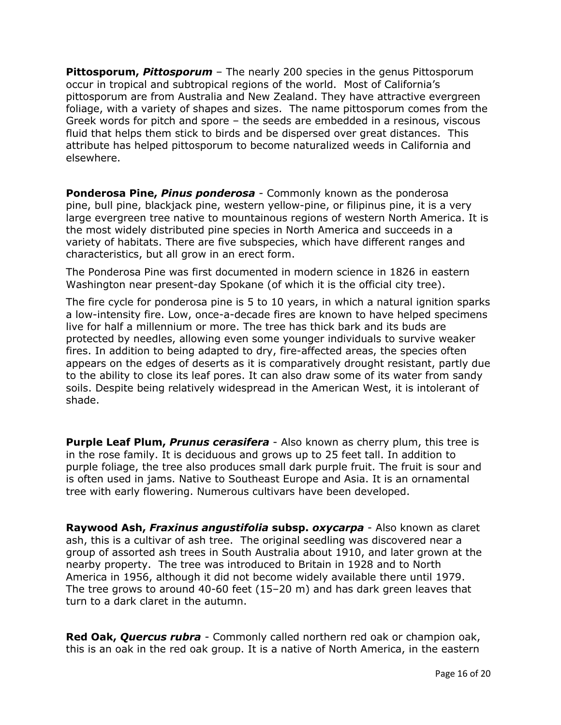**Pittosporum,** *Pittosporum* – The nearly 200 species in the genus Pittosporum occur in tropical and subtropical regions of the world. Most of California's pittosporum are from Australia and New Zealand. They have attractive evergreen foliage, with a variety of shapes and sizes. The name pittosporum comes from the Greek words for pitch and spore – the seeds are embedded in a resinous, viscous fluid that helps them stick to birds and be dispersed over great distances. This attribute has helped pittosporum to become naturalized weeds in California and elsewhere.

**Ponderosa Pine,** *Pinus ponderosa* - Commonly known as the ponderosa pine, bull pine, blackjack pine, western yellow-pine, or filipinus pine, it is a very large evergreen tree native to mountainous regions of western North America. It is the most widely distributed pine species in North America and succeeds in a variety of habitats. There are five subspecies, which have different ranges and characteristics, but all grow in an erect form.

The Ponderosa Pine was first documented in modern science in 1826 in eastern Washington near present-day Spokane (of which it is the official city tree).

The fire cycle for ponderosa pine is 5 to 10 years, in which a natural ignition sparks a low-intensity fire. Low, once-a-decade fires are known to have helped specimens live for half a millennium or more. The tree has thick bark and its buds are protected by needles, allowing even some younger individuals to survive weaker fires. In addition to being adapted to dry, fire-affected areas, the species often appears on the edges of deserts as it is comparatively drought resistant, partly due to the ability to close its leaf pores. It can also draw some of its water from sandy soils. Despite being relatively widespread in the American West, it is intolerant of shade.

**Purple Leaf Plum,** *Prunus cerasifera* - Also known as cherry plum, this tree is in the rose family. It is deciduous and grows up to 25 feet tall. In addition to purple foliage, the tree also produces small dark purple fruit. The fruit is sour and is often used in jams. Native to Southeast Europe and Asia. It is an ornamental tree with early flowering. Numerous cultivars have been developed.

**Raywood Ash,** *Fraxinus angustifolia* **subsp.** *oxycarpa* - Also known as claret ash, this is a cultivar of ash tree. The original seedling was discovered near a group of assorted ash trees in South Australia about 1910, and later grown at the nearby property. The tree was introduced to Britain in 1928 and to North America in 1956, although it did not become widely available there until 1979. The tree grows to around 40-60 feet (15–20 m) and has dark green leaves that turn to a dark claret in the autumn.

**Red Oak,** *Quercus rubra* - Commonly called northern red oak or champion oak, this is an oak in the red oak group. It is a native of North America, in the eastern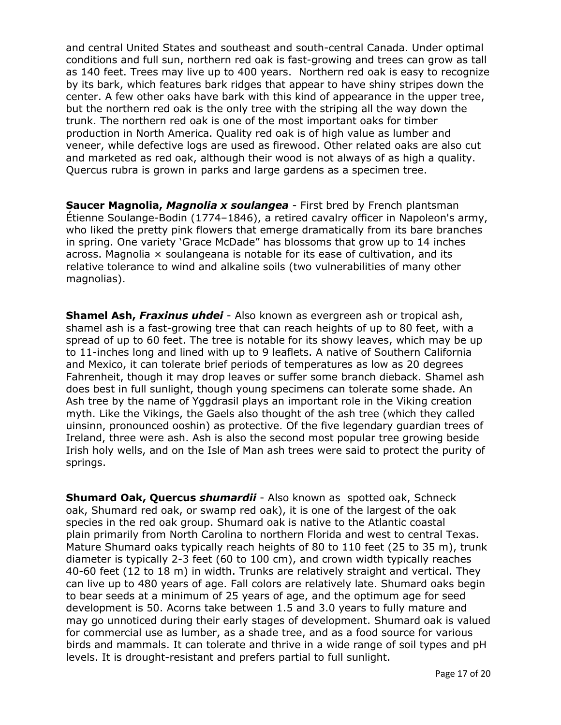and central United States and southeast and south-central Canada. Under optimal conditions and full sun, northern red oak is fast-growing and trees can grow as tall as 140 feet. Trees may live up to 400 years. Northern red oak is easy to recognize by its bark, which features bark ridges that appear to have shiny stripes down the center. A few other oaks have bark with this kind of appearance in the upper tree, but the northern red oak is the only tree with the striping all the way down the trunk. The northern red oak is one of the most important oaks for timber production in North America. Quality red oak is of high value as lumber and veneer, while defective logs are used as firewood. Other related oaks are also cut and marketed as red oak, although their wood is not always of as high a quality. Quercus rubra is grown in parks and large gardens as a specimen tree.

**Saucer Magnolia,** *Magnolia x soulangea* - First bred by French plantsman Étienne Soulange-Bodin (1774–1846), a retired cavalry officer in Napoleon's army, who liked the pretty pink flowers that emerge dramatically from its bare branches in spring. One variety 'Grace McDade" has blossoms that grow up to 14 inches across. Magnolia  $\times$  soulangeana is notable for its ease of cultivation, and its relative tolerance to wind and alkaline soils (two vulnerabilities of many other magnolias).

**Shamel Ash,** *Fraxinus uhdei* - Also known as evergreen ash or tropical ash, shamel ash is a fast-growing tree that can reach heights of up to 80 feet, with a spread of up to 60 feet. The tree is notable for its showy leaves, which may be up to 11-inches long and lined with up to 9 leaflets. A native of Southern California and Mexico, it can tolerate brief periods of temperatures as low as 20 degrees Fahrenheit, though it may drop leaves or suffer some branch dieback. Shamel ash does best in full sunlight, though young specimens can tolerate some shade. An Ash tree by the name of Yggdrasil plays an important role in the Viking creation myth. Like the Vikings, the Gaels also thought of the ash tree (which they called uinsinn, pronounced ooshin) as protective. Of the five legendary guardian trees of Ireland, three were ash. Ash is also the second most popular tree growing beside Irish holy wells, and on the Isle of Man ash trees were said to protect the purity of springs.

**Shumard Oak, Quercus** *shumardii* - Also known as spotted oak, Schneck oak, Shumard red oak, or swamp red oak), it is one of the largest of the oak species in the red oak group. Shumard oak is native to the Atlantic coastal plain primarily from North Carolina to northern Florida and west to central Texas. Mature Shumard oaks typically reach heights of 80 to 110 feet (25 to 35 m), trunk diameter is typically 2-3 feet (60 to 100 cm), and crown width typically reaches 40-60 feet (12 to 18 m) in width. Trunks are relatively straight and vertical. They can live up to 480 years of age. Fall colors are relatively late. Shumard oaks begin to bear seeds at a minimum of 25 years of age, and the optimum age for seed development is 50. Acorns take between 1.5 and 3.0 years to fully mature and may go unnoticed during their early stages of development. Shumard oak is valued for commercial use as lumber, as a shade tree, and as a food source for various birds and mammals. It can tolerate and thrive in a wide range of soil types and pH levels. It is drought-resistant and prefers partial to full sunlight.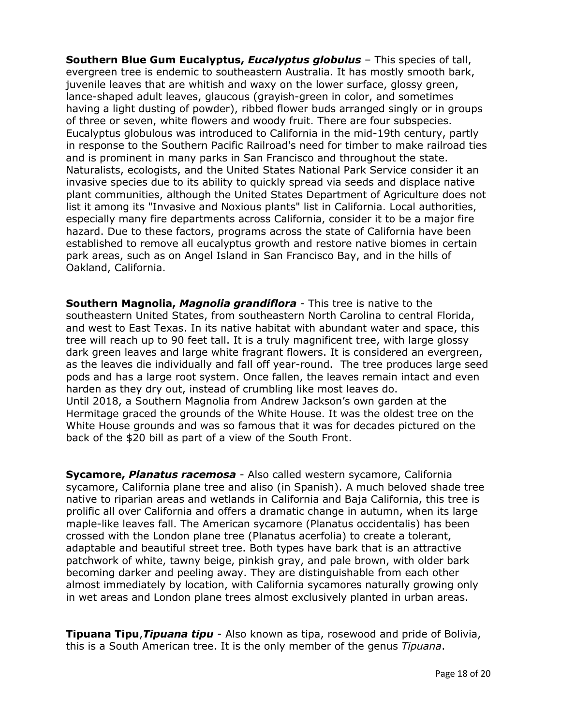**Southern Blue Gum Eucalyptus,** *Eucalyptus globulus* – This species of tall, evergreen tree is endemic to southeastern Australia. It has mostly smooth bark, juvenile leaves that are whitish and waxy on the lower surface, glossy green, lance-shaped adult leaves, glaucous (grayish-green in color, and sometimes having a light dusting of powder), ribbed flower buds arranged singly or in groups of three or seven, white flowers and woody fruit. There are four subspecies. Eucalyptus globulous was introduced to California in the mid-19th century, partly in response to the Southern Pacific Railroad's need for timber to make railroad ties and is prominent in many parks in San Francisco and throughout the state. Naturalists, ecologists, and the United States National Park Service consider it an invasive species due to its ability to quickly spread via seeds and displace native plant communities, although the United States Department of Agriculture does not list it among its "Invasive and Noxious plants" list in California. Local authorities, especially many fire departments across California, consider it to be a major fire hazard. Due to these factors, programs across the state of California have been established to remove all eucalyptus growth and restore native biomes in certain park areas, such as on Angel Island in San Francisco Bay, and in the hills of Oakland, California.

**Southern Magnolia,** *Magnolia grandiflora* - This tree is native to the southeastern United States, from southeastern North Carolina to central Florida, and west to East Texas. In its native habitat with abundant water and space, this tree will reach up to 90 feet tall. It is a truly magnificent tree, with large glossy dark green leaves and large white fragrant flowers. It is considered an evergreen, as the leaves die individually and fall off year-round. The tree produces large seed pods and has a large root system. Once fallen, the leaves remain intact and even harden as they dry out, instead of crumbling like most leaves do. Until 2018, a Southern Magnolia from Andrew Jackson's own garden at the Hermitage graced the grounds of the White House. It was the oldest tree on the White House grounds and was so famous that it was for decades pictured on the back of the \$20 bill as part of a view of the South Front.

**Sycamore,** *Planatus racemosa* - Also called western sycamore, California sycamore, California plane tree and aliso (in Spanish). A much beloved shade tree native to riparian areas and wetlands in California and Baja California, this tree is prolific all over California and offers a dramatic change in autumn, when its large maple-like leaves fall. The American sycamore (Planatus occidentalis) has been crossed with the London plane tree (Planatus acerfolia) to create a tolerant, adaptable and beautiful street tree. Both types have bark that is an attractive patchwork of white, tawny beige, pinkish gray, and pale brown, with older bark becoming darker and peeling away. They are distinguishable from each other almost immediately by location, with California sycamores naturally growing only in wet areas and London plane trees almost exclusively planted in urban areas.

**Tipuana Tipu**,*Tipuana tipu* - Also known as tipa, rosewood and pride of Bolivia, this is a South American tree. It is the only member of the genus *Tipuana*.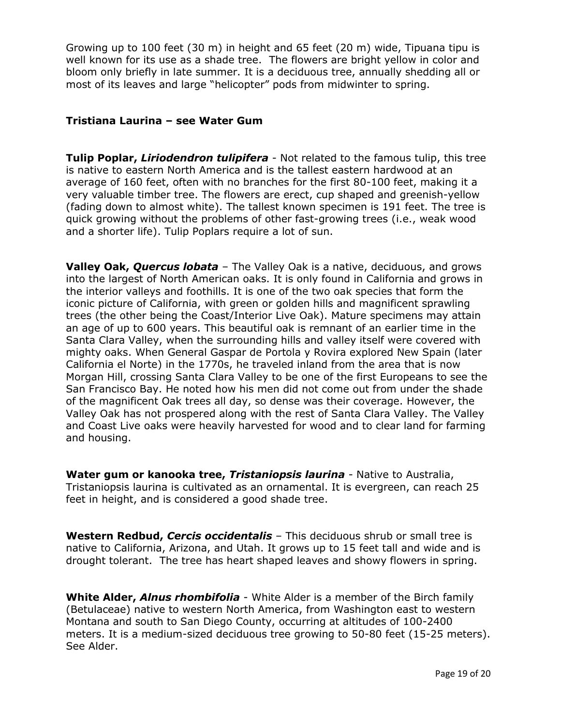Growing up to 100 feet (30 m) in height and 65 feet (20 m) wide, Tipuana tipu is well known for its use as a shade tree. The flowers are bright yellow in color and bloom only briefly in late summer. It is a deciduous tree, annually shedding all or most of its leaves and large "helicopter" pods from midwinter to spring.

## **Tristiana Laurina – see Water Gum**

**Tulip Poplar,** *Liriodendron tulipifera* - Not related to the famous tulip, this tree is native to eastern North America and is the tallest eastern hardwood at an average of 160 feet, often with no branches for the first 80-100 feet, making it a very valuable timber tree. The flowers are erect, cup shaped and greenish-yellow (fading down to almost white). The tallest known specimen is 191 feet. The tree is quick growing without the problems of other fast-growing trees (i.e., weak wood and a shorter life). Tulip Poplars require a lot of sun.

**Valley Oak,** *Quercus lobata* – The Valley Oak is a native, deciduous, and grows into the largest of North American oaks. It is only found in California and grows in the interior valleys and foothills. It is one of the two oak species that form the iconic picture of California, with green or golden hills and magnificent sprawling trees (the other being the Coast/Interior Live Oak). Mature specimens may attain an age of up to 600 years. This beautiful oak is remnant of an earlier time in the Santa Clara Valley, when the surrounding hills and valley itself were covered with mighty oaks. When General Gaspar de Portola y Rovira explored New Spain (later California el Norte) in the 1770s, he traveled inland from the area that is now Morgan Hill, crossing Santa Clara Valley to be one of the first Europeans to see the San Francisco Bay. He noted how his men did not come out from under the shade of the magnificent Oak trees all day, so dense was their coverage. However, the Valley Oak has not prospered along with the rest of Santa Clara Valley. The Valley and Coast Live oaks were heavily harvested for wood and to clear land for farming and housing.

**Water gum or kanooka tree,** *Tristaniopsis laurina* - Native to Australia, Tristaniopsis laurina is cultivated as an ornamental. It is evergreen, can reach 25 feet in height, and is considered a good shade tree.

**Western Redbud,** *Cercis occidentalis* – This deciduous shrub or small tree is native to California, Arizona, and Utah. It grows up to 15 feet tall and wide and is drought tolerant. The tree has heart shaped leaves and showy flowers in spring.

**White Alder,** *Alnus rhombifolia* - White Alder is a member of the Birch family (Betulaceae) native to western North America, from Washington east to western Montana and south to San Diego County, occurring at altitudes of 100-2400 meters. It is a medium-sized deciduous tree growing to 50-80 feet (15-25 meters). See Alder.